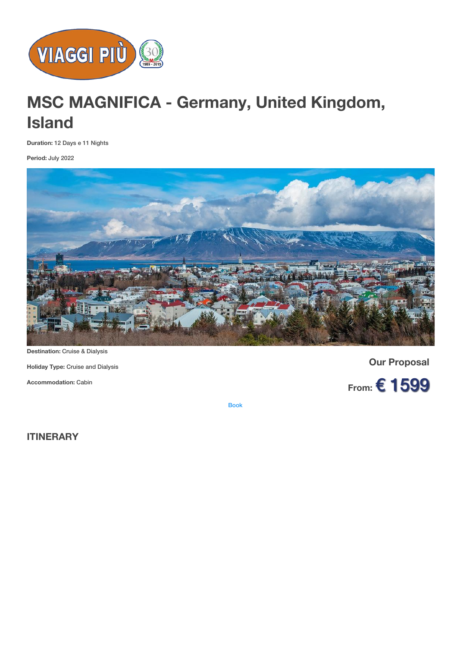

# **MSC MAGNIFICA - Germany, United Kingdom, Island**

**Duration:** 12 Days e 11 Nights

**Period:** July 2022



**Destination:** Cruise & Dialysis

**Holiday Type:** Cruise and Dialysis

**Accommodation:** Cabin

**Our Proposal**



[Book](https://viaggipiu.eu/index.php?option=com_offerte&view=info&id=1528&modello=offerta)

**ITINERARY**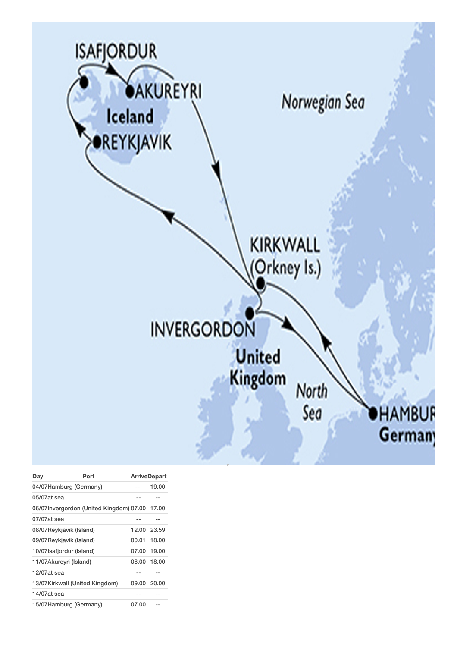

| Day                            | Port                                          | <b>ArriveDepart</b> |       |
|--------------------------------|-----------------------------------------------|---------------------|-------|
| 04/07Hamburg (Germany)         |                                               | --                  | 19.00 |
| 05/07at sea                    |                                               |                     |       |
|                                | 06/07Invergordon (United Kingdom) 07.00 17.00 |                     |       |
| $07/07$ at sea                 |                                               |                     |       |
| 08/07Reykjavik (Island)        |                                               | 12.00 23.59         |       |
| 09/07Reykjavik (Island)        |                                               | 00.01               | 18.00 |
| 10/07 Isafjordur (Island)      |                                               | 07.00 19.00         |       |
| 11/07Akureyri (Island)         |                                               | 08.00 18.00         |       |
| 12/07at sea                    |                                               | --                  |       |
| 13/07Kirkwall (United Kingdom) |                                               | 09.00 20.00         |       |
| 14/07at sea                    |                                               |                     |       |
| 15/07Hamburg (Germany)         |                                               | 07.00               |       |